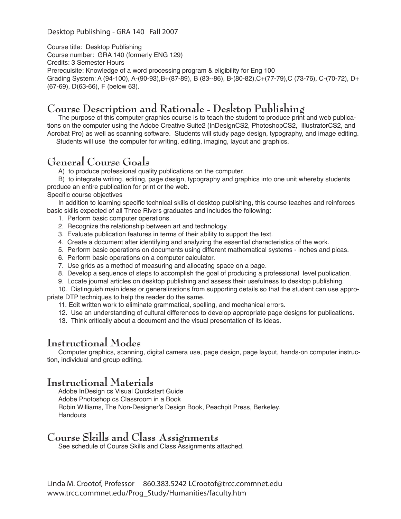#### Desktop Publishing - GRA 140 Fall 2007

Course title: Desktop Publishing Course number: GRA 140 (formerly ENG 129) Credits: 3 Semester Hours Prerequisite: Knowledge of a word processing program & eligibility for Eng 100 Grading System: A (94-100), A-(90-93),B+(87-89), B (83--86), B-(80-82),C+(77-79),C (73-76), C-(70-72), D+ (67-69), D(63-66), F (below 63).

# **Course Description and Rationale - Desktop Publishing**

The purpose of this computer graphics course is to teach the student to produce print and web publications on the computer using the Adobe Creative Suite2 (InDesignCS2, PhotoshopCS2, IllustratorCS2, and Acrobat Pro) as well as scanning software. Students will study page design, typography, and image editing.

Students will use the computer for writing, editing, imaging, layout and graphics.

## **General Course Goals**

A) to produce professional quality publications on the computer.

B) to integrate writing, editing, page design, typography and graphics into one unit whereby students produce an entire publication for print or the web.

Specific course objectives

In addition to learning specific technical skills of desktop publishing, this course teaches and reinforces basic skills expected of all Three Rivers graduates and includes the following:

- 1. Perform basic computer operations.
- 2. Recognize the relationship between art and technology.
- 3. Evaluate publication features in terms of their ability to support the text.
- 4. Create a document after identifying and analyzing the essential characteristics of the work.
- 5. Perform basic operations on documents using different mathematical systems inches and picas.
- 6. Perform basic operations on a computer calculator.
- 7. Use grids as a method of measuring and allocating space on a page.
- 8. Develop a sequence of steps to accomplish the goal of producing a professional level publication.
- 9. Locate journal articles on desktop publishing and assess their usefulness to desktop publishing.

10. Distinguish main ideas or generalizations from supporting details so that the student can use appropriate DTP techniques to help the reader do the same.

- 11. Edit written work to eliminate grammatical, spelling, and mechanical errors.
- 12. Use an understanding of cultural differences to develop appropriate page designs for publications.
- 13. Think critically about a document and the visual presentation of its ideas.

## **Instructional Modes**

Computer graphics, scanning, digital camera use, page design, page layout, hands-on computer instruction, individual and group editing.

#### **Instructional Materials**

Adobe InDesign cs Visual Quickstart Guide Adobe Photoshop cs Classroom in a Book Robin Williams, The Non-Designer's Design Book, Peachpit Press, Berkeley. **Handouts** 

### **Course Skills and Class Assignments**

See schedule of Course Skills and Class Assignments attached.

Linda M. Crootof, Professor 860.383.5242 LCrootof@trcc.commnet.edu www.trcc.commnet.edu/Prog\_Study/Humanities/faculty.htm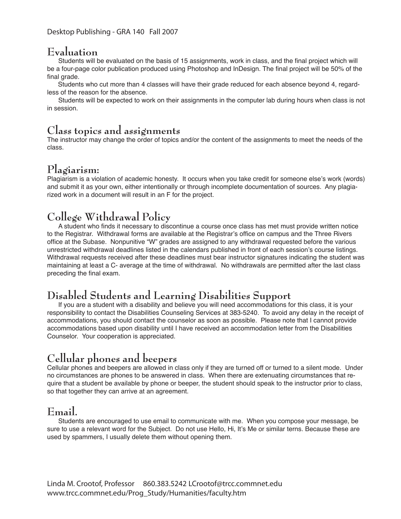### **Evaluation**

 Students will be evaluated on the basis of 15 assignments, work in class, and the final project which will be a four-page color publication produced using Photoshop and InDesign. The final project will be 50% of the final grade.

 Students who cut more than 4 classes will have their grade reduced for each absence beyond 4, regardless of the reason for the absence.

Students will be expected to work on their assignments in the computer lab during hours when class is not in session.

#### **Class topics and assignments**

The instructor may change the order of topics and/or the content of the assignments to meet the needs of the class.

### **Plagiarism:**

Plagiarism is a violation of academic honesty. It occurs when you take credit for someone else's work (words) and submit it as your own, either intentionally or through incomplete documentation of sources. Any plagiarized work in a document will result in an F for the project.

# **College Withdrawal Policy**

A student who finds it necessary to discontinue a course once class has met must provide written notice to the Registrar. Withdrawal forms are available at the Registrar's office on campus and the Three Rivers office at the Subase. Nonpunitive "W" grades are assigned to any withdrawal requested before the various unrestricted withdrawal deadlines listed in the calendars published in front of each session's course listings. Withdrawal requests received after these deadlines must bear instructor signatures indicating the student was maintaining at least a C- average at the time of withdrawal. No withdrawals are permitted after the last class preceding the final exam.

# **Disabled Students and Learning Disabilities Support**

If you are a student with a disability and believe you will need accommodations for this class, it is your responsibility to contact the Disabilities Counseling Services at 383-5240. To avoid any delay in the receipt of accommodations, you should contact the counselor as soon as possible. Please note that I cannot provide accommodations based upon disability until I have received an accommodation letter from the Disabilities Counselor. Your cooperation is appreciated.

# **Cellular phones and beepers**

Cellular phones and beepers are allowed in class only if they are turned off or turned to a silent mode. Under no circumstances are phones to be answered in class. When there are extenuating circumstances that require that a student be available by phone or beeper, the student should speak to the instructor prior to class, so that together they can arrive at an agreement.

### **Email.**

Students are encouraged to use email to communicate with me. When you compose your message, be sure to use a relevant word for the Subject. Do not use Hello, Hi, It's Me or similar terns. Because these are used by spammers, I usually delete them without opening them.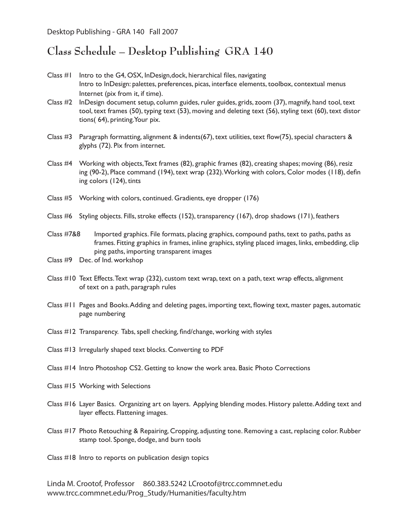Desktop Publishing - GRA 140 Fall 2007

# **Class Schedule – Desktop Publishing GRA 140**

- Class #1 Intro to the G4, OSX, InDesign, dock, hierarchical files, navigating Intro to InDesign: palettes, preferences, picas, interface elements, toolbox, contextual menus Internet (pix from it, if time).
- Class #2 InDesign document setup, column guides, ruler guides, grids, zoom (37), magnify, hand tool, text tool, text frames (50), typing text (53), moving and deleting text (56), styling text (60), text distor tions( 64), printing.Your pix.
- Class #3 Paragraph formatting, alignment & indents(67), text utilities, text flow(75), special characters & glyphs (72). Pix from internet.
- Class #4 Working with objects, Text frames (82), graphic frames (82), creating shapes; moving (86), resiz ing (90-2), Place command (194), text wrap (232). Working with colors, Color modes (118), defin ing colors (124), tints
- Class #5 Working with colors, continued. Gradients, eye dropper (176)
- Class #6 Styling objects. Fills, stroke effects (152), transparency (167), drop shadows (171), feathers
- Class #7&8 Imported graphics. File formats, placing graphics, compound paths, text to paths, paths as frames. Fitting graphics in frames, inline graphics, styling placed images, links, embedding, clip ping paths, importing transparent images
- Class #9 Dec. of Ind. workshop
- Class #10 Text Effects. Text wrap (232), custom text wrap, text on a path, text wrap effects, alignment of text on a path, paragraph rules
- Class #11 Pages and Books. Adding and deleting pages, importing text, flowing text, master pages, automatic page numbering
- Class #12 Transparency. Tabs, spell checking, find/change, working with styles
- Class #13 Irregularly shaped text blocks. Converting to PDF
- Class #14 Intro Photoshop CS2. Getting to know the work area. Basic Photo Corrections
- Class #15 Working with Selections
- Class #16 Layer Basics. Organizing art on layers. Applying blending modes. History palette. Adding text and layer effects. Flattening images.
- Class #17 Photo Retouching & Repairing, Cropping, adjusting tone. Removing a cast, replacing color. Rubber stamp tool. Sponge, dodge, and burn tools
- Class #18 Intro to reports on publication design topics

Linda M. Crootof, Professor 860.383.5242 LCrootof@trcc.commnet.edu www.trcc.commnet.edu/Prog\_Study/Humanities/faculty.htm